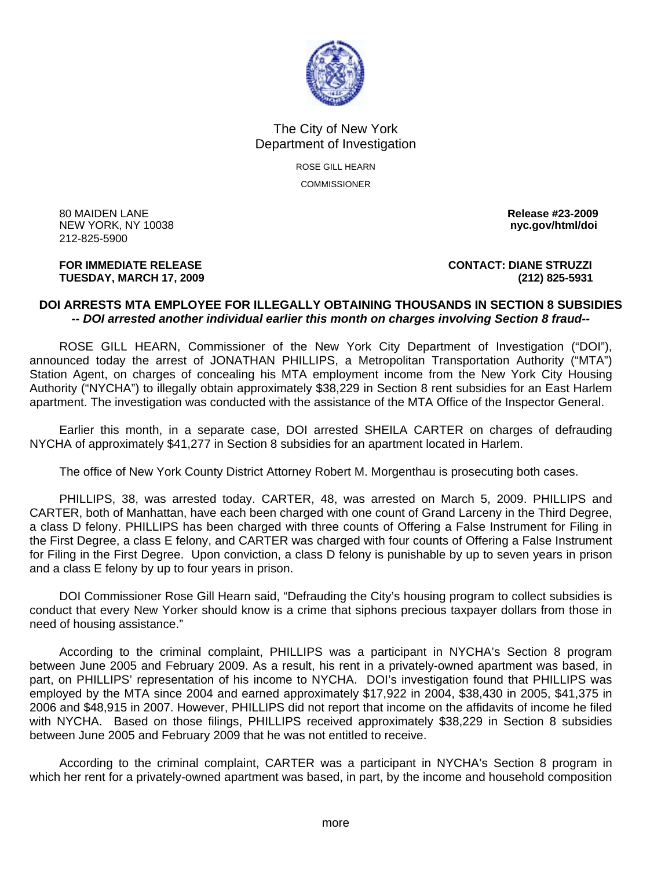

## The City of New York Department of Investigation

ROSE GILL HEARN **COMMISSIONER** 

80 MAIDEN LANE **Release #23-2009 NEW YORK, NY 10038** 212-825-5900

## **TUESDAY, MARCH 17, 2009 (212) 825-5931**

**FOR IMMEDIATE RELEASE CONTACT: DIANE STRUZZI** 

## **DOI ARRESTS MTA EMPLOYEE FOR ILLEGALLY OBTAINING THOUSANDS IN SECTION 8 SUBSIDIES**  *-- DOI arrested another individual earlier this month on charges involving Section 8 fraud--*

 ROSE GILL HEARN, Commissioner of the New York City Department of Investigation ("DOI"), announced today the arrest of JONATHAN PHILLIPS, a Metropolitan Transportation Authority ("MTA") Station Agent, on charges of concealing his MTA employment income from the New York City Housing Authority ("NYCHA") to illegally obtain approximately \$38,229 in Section 8 rent subsidies for an East Harlem apartment. The investigation was conducted with the assistance of the MTA Office of the Inspector General.

 Earlier this month, in a separate case, DOI arrested SHEILA CARTER on charges of defrauding NYCHA of approximately \$41,277 in Section 8 subsidies for an apartment located in Harlem.

The office of New York County District Attorney Robert M. Morgenthau is prosecuting both cases.

 PHILLIPS, 38, was arrested today. CARTER, 48, was arrested on March 5, 2009. PHILLIPS and CARTER, both of Manhattan, have each been charged with one count of Grand Larceny in the Third Degree, a class D felony. PHILLIPS has been charged with three counts of Offering a False Instrument for Filing in the First Degree, a class E felony, and CARTER was charged with four counts of Offering a False Instrument for Filing in the First Degree. Upon conviction, a class D felony is punishable by up to seven years in prison and a class E felony by up to four years in prison.

 DOI Commissioner Rose Gill Hearn said, "Defrauding the City's housing program to collect subsidies is conduct that every New Yorker should know is a crime that siphons precious taxpayer dollars from those in need of housing assistance."

 According to the criminal complaint, PHILLIPS was a participant in NYCHA's Section 8 program between June 2005 and February 2009. As a result, his rent in a privately-owned apartment was based, in part, on PHILLIPS' representation of his income to NYCHA. DOI's investigation found that PHILLIPS was employed by the MTA since 2004 and earned approximately \$17,922 in 2004, \$38,430 in 2005, \$41,375 in 2006 and \$48,915 in 2007. However, PHILLIPS did not report that income on the affidavits of income he filed with NYCHA. Based on those filings, PHILLIPS received approximately \$38,229 in Section 8 subsidies between June 2005 and February 2009 that he was not entitled to receive.

 According to the criminal complaint, CARTER was a participant in NYCHA's Section 8 program in which her rent for a privately-owned apartment was based, in part, by the income and household composition